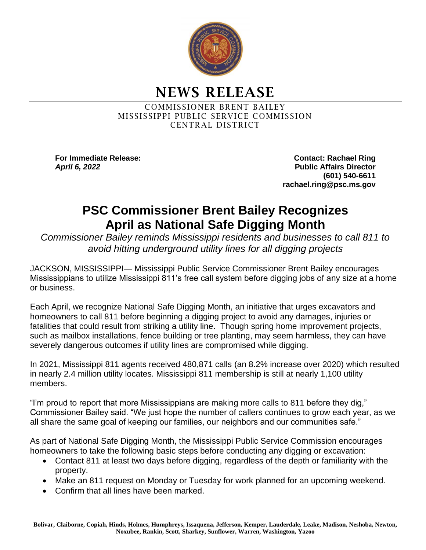

NEWS RELEASE

COMMISSIONER BRENT BAILEY MISSISSIPPI PUBLIC SERVICE COMMISSION CENTRAL DISTRICT

**For Immediate Release: Contact: Rachael Ring** *April 6, 2022* **Public Affairs Director (601) 540-6611 rachael.ring@psc.ms.gov**

## **PSC Commissioner Brent Bailey Recognizes April as National Safe Digging Month**

*Commissioner Bailey reminds Mississippi residents and businesses to call 811 to avoid hitting underground utility lines for all digging projects*

JACKSON, MISSISSIPPI— Mississippi Public Service Commissioner Brent Bailey encourages Mississippians to utilize Mississippi 811's free call system before digging jobs of any size at a home or business.

Each April, we recognize National Safe Digging Month, an initiative that urges excavators and homeowners to call 811 before beginning a digging project to avoid any damages, injuries or fatalities that could result from striking a utility line. Though spring home improvement projects, such as mailbox installations, fence building or tree planting, may seem harmless, they can have severely dangerous outcomes if utility lines are compromised while digging.

In 2021, Mississippi 811 agents received 480,871 calls (an 8.2% increase over 2020) which resulted in nearly 2.4 million utility locates. Mississippi 811 membership is still at nearly 1,100 utility members.

"I'm proud to report that more Mississippians are making more calls to 811 before they dig," Commissioner Bailey said. "We just hope the number of callers continues to grow each year, as we all share the same goal of keeping our families, our neighbors and our communities safe."

As part of National Safe Digging Month, the Mississippi Public Service Commission encourages homeowners to take the following basic steps before conducting any digging or excavation:

- Contact 811 at least two days before digging, regardless of the depth or familiarity with the property.
- Make an 811 request on Monday or Tuesday for work planned for an upcoming weekend.
- Confirm that all lines have been marked.